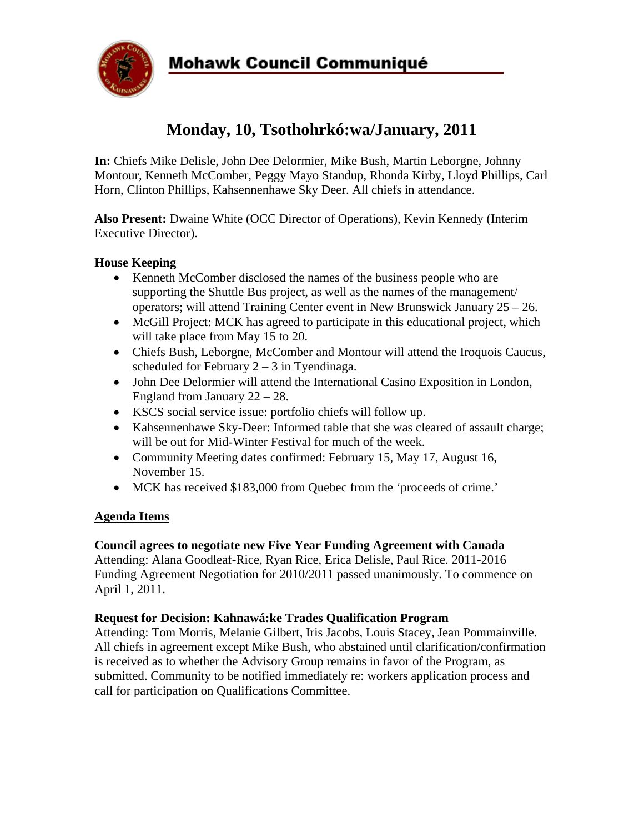

# **Monday, 10, Tsothohrkó:wa/January, 2011**

**In:** Chiefs Mike Delisle, John Dee Delormier, Mike Bush, Martin Leborgne, Johnny Montour, Kenneth McComber, Peggy Mayo Standup, Rhonda Kirby, Lloyd Phillips, Carl Horn, Clinton Phillips, Kahsennenhawe Sky Deer. All chiefs in attendance.

**Also Present:** Dwaine White (OCC Director of Operations), Kevin Kennedy (Interim Executive Director).

## **House Keeping**

- Kenneth McComber disclosed the names of the business people who are supporting the Shuttle Bus project, as well as the names of the management/ operators; will attend Training Center event in New Brunswick January 25 – 26.
- McGill Project: MCK has agreed to participate in this educational project, which will take place from May 15 to 20.
- Chiefs Bush, Leborgne, McComber and Montour will attend the Iroquois Caucus, scheduled for February  $2 - 3$  in Tyendinaga.
- John Dee Delormier will attend the International Casino Exposition in London, England from January 22 – 28.
- KSCS social service issue: portfolio chiefs will follow up.
- Kahsennenhawe Sky-Deer: Informed table that she was cleared of assault charge; will be out for Mid-Winter Festival for much of the week.
- Community Meeting dates confirmed: February 15, May 17, August 16, November 15.
- MCK has received \$183,000 from Quebec from the 'proceeds of crime.'

### **Agenda Items**

### **Council agrees to negotiate new Five Year Funding Agreement with Canada**

Attending: Alana Goodleaf-Rice, Ryan Rice, Erica Delisle, Paul Rice. 2011-2016 Funding Agreement Negotiation for 2010/2011 passed unanimously. To commence on April 1, 2011.

### **Request for Decision: Kahnawá:ke Trades Qualification Program**

Attending: Tom Morris, Melanie Gilbert, Iris Jacobs, Louis Stacey, Jean Pommainville. All chiefs in agreement except Mike Bush, who abstained until clarification/confirmation is received as to whether the Advisory Group remains in favor of the Program, as submitted. Community to be notified immediately re: workers application process and call for participation on Qualifications Committee.